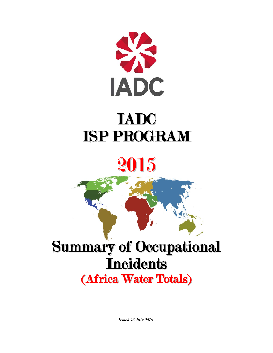

## IADC ISP PROGRAM

# 2015

# Summary of Occupational **Incidents**

(Africa Water Totals)

Issued 15 July 2016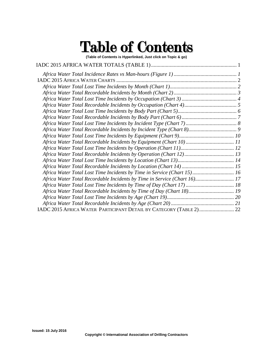## Table of Contents

**(Table of Contents is Hyperlinked, Just click on Topic & go)**

| Africa Water Total Lost Time Incidents by Time in Service (Chart 15) 16  |  |
|--------------------------------------------------------------------------|--|
| Africa Water Total Recordable Incidents by Time in Service (Chart 16) 17 |  |
|                                                                          |  |
| Africa Water Total Recordable Incidents by Time of Day (Chart 18) 19     |  |
|                                                                          |  |
|                                                                          |  |
| IADC 2015 AFRICA WATER PARTICIPANT DETAIL BY CATEGORY (TABLE 2) 22       |  |
|                                                                          |  |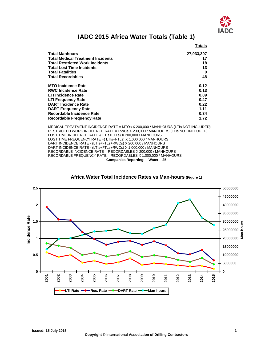

### **IADC 2015 Africa Water Totals (Table 1)**

<span id="page-2-0"></span>

|                                          | <b>Totals</b> |
|------------------------------------------|---------------|
| <b>Total Manhours</b>                    | 27,933,397    |
| <b>Total Medical Treatment Incidents</b> | 17            |
| <b>Total Restricted Work Incidents</b>   | 18            |
| <b>Total Lost Time Incidents</b>         | 13            |
| <b>Total Fatalities</b>                  | 0             |
| <b>Total Recordables</b>                 | 48            |
| <b>MTO Incidence Rate</b>                | 0.12          |
| <b>RWC Incidence Rate</b>                | 0.13          |
| <b>LTI Incidence Rate</b>                | 0.09          |
| <b>LTI Frequency Rate</b>                | 0.47          |
| <b>DART Incidence Rate</b>               | 0.22          |
| <b>DART Frequency Rate</b>               | 1.11          |
| <b>Recordable Incidence Rate</b>         | 0.34          |
| <b>Recordable Frequency Rate</b>         | 1.72          |

MEDICAL TREATMENT INCIDENCE RATE = MTOs X 200,000 / MANHOURS (LTIs NOT INCLUDED) RESTRICTED WORK INCIDENCE RATE = RWCs X 200,000 / MANHOURS (LTIs NOT INCLUDED) LOST TIME INCIDENCE RATE -( LTIs+FTLs) X 200,000 / MANHOURS LOST TIME FREQUENCY RATE = (LTIs+FTLS) X 1,000,000 / MANHOURS DART INCIDENCE RATE - (LTIs+FTLs+RWCs) X 200,000 / MANHOURS DART INCIDENCE RATE - (LTIs+FTLs+RWCs) X 1,000,000 / MANHOURS RECORDABLE INCIDENCE RATE = RECORDABLES X 200,000 / MANHOURS RECORDABLE FREQUENCY RATE = RECORDABLES X 1,000,000 / MANHOURS **Companies Reporting: Water – 25**

#### <span id="page-2-1"></span>**2.5 50000000 45000000 2 40000000 35000000** Incidence Rate **Incidence Rate 1.5 30000000** -hours **Man-hours 25000000** ±<br>≌<br>20000000 2 **1 15000000 10000000 0.5 5000000 0 0 2015 2002 2003 2009 2010 2012 2013 2001 2004 2005 2006 2007 2008 2014** 201 LTI Rate **-0**-Rec. Rate -0-DART Rate -0-Man-hours

#### **Africa Water Total Incidence Rates vs Man-hours (Figure 1)**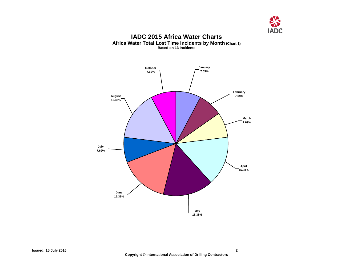

#### **IADC 2015 Africa Water Charts Africa Water Total Lost Time Incidents by Month (Chart 1) Based on 13 Incidents**

<span id="page-3-1"></span><span id="page-3-0"></span>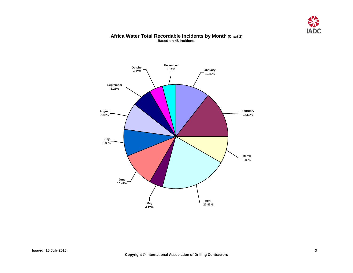

#### **Africa Water Total Recordable Incidents by Month (Chart 2) Based on 48 Incidents**

<span id="page-4-0"></span>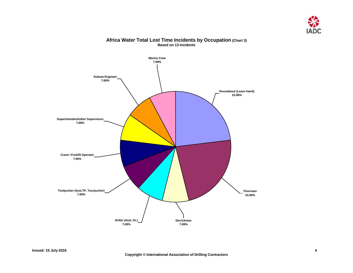

### <span id="page-5-0"></span>**Marine Crew 7.69% Roustabout (Lease Hand) 23.08% Floorman 23.08% Derrickman 7.69% Driller (Asst. Dr.) 7.69% Crane / Forklift Operator 7.69% Superintendent/other Supervisors 7.69% Subsea Engineer 7.69% Toolpusher (Asst.TP, Tourpusher) 7.69%**

#### **Africa Water Total Lost Time Incidents by Occupation (Chart 3) Based on 13 Incidents**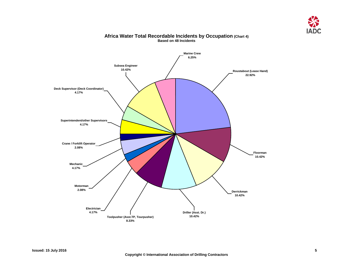

<span id="page-6-0"></span>

#### **Africa Water Total Recordable Incidents by Occupation (Chart 4) Based on 48 Incidents**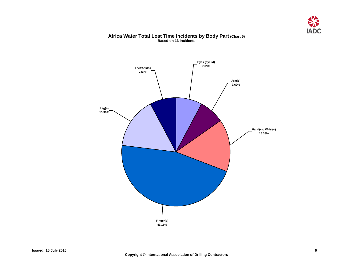

#### **Africa Water Total Lost Time Incidents by Body Part (Chart 5) Based on 13 Incidents**

<span id="page-7-0"></span>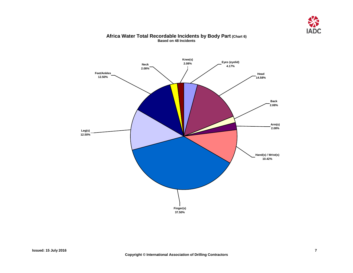

### <span id="page-8-0"></span>**Knee(s)**  $Neck$ **2.08% Feet/Ankles 12.50% Leg(s) 12.50% Finger(s) 37.50% Hand(s) / Wrist(s) 10.42% Arm(s) 2.08% Back 2.08% Head 14.58% Eyes (eyelid) 4.17%**

#### **Africa Water Total Recordable Incidents by Body Part (Chart 6) Based on 48 Incidents**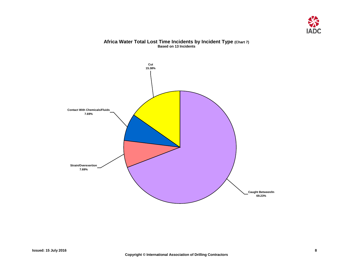

#### **Africa Water Total Lost Time Incidents by Incident Type (Chart 7) Based on 13 Incidents**

<span id="page-9-0"></span>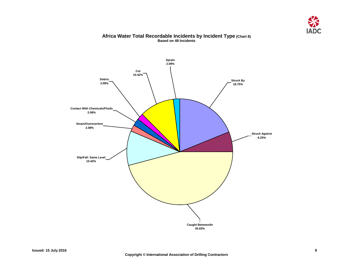

#### **Africa Water Total Recordable Incidents by Incident Type (Chart 8) Based on 48 Incidents**

<span id="page-10-0"></span>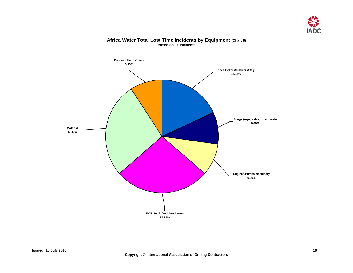

<span id="page-11-0"></span>

#### **Africa Water Total Lost Time Incidents by Equipment (Chart 9) Based on 11 Incidents**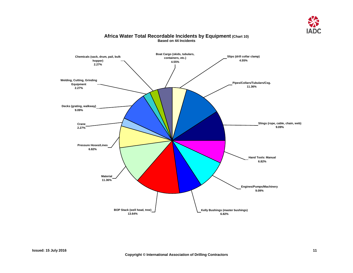

<span id="page-12-0"></span>

#### **Africa Water Total Recordable Incidents by Equipment (Chart 10) Based on 44 Incidents**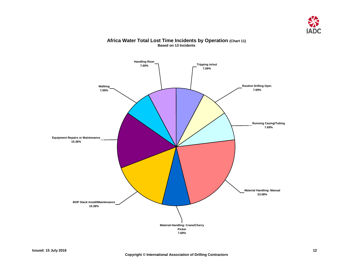

<span id="page-13-0"></span>

#### **Africa Water Total Lost Time Incidents by Operation (Chart 11) Based on 13 Incidents**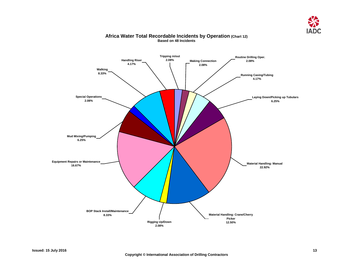

<span id="page-14-0"></span>

#### **Africa Water Total Recordable Incidents by Operation (Chart 12) Based on 48 Incidents**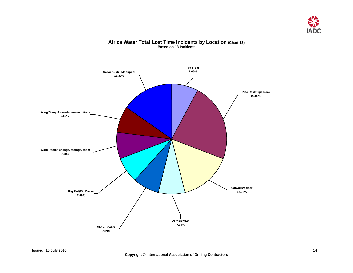

## <span id="page-15-0"></span>**Pipe Rack/Pipe Deck 23.08% Rig Floor Cellar / Sub / Moonpool 7.69% 15.38% Living/Camp Areas/Accommodations 7.69% Rig Pad/Rig Decks 7.69% Derrick/Mast 7.69% Catwalk/V-door 15.38% Work Rooms change, storage, room 7.69% Shale Shaker 7.69%**

#### **Africa Water Total Lost Time Incidents by Location (Chart 13) Based on 13 Incidents**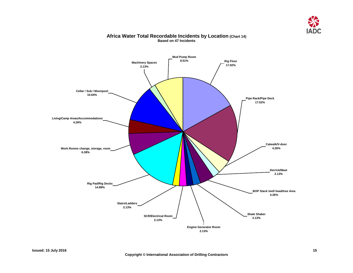

<span id="page-16-0"></span>

#### **Africa Water Total Recordable Incidents by Location (Chart 14) Based on 47 Incidents**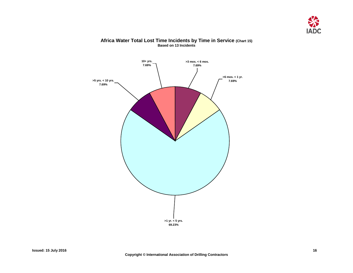

<span id="page-17-0"></span>

#### **Africa Water Total Lost Time Incidents by Time in Service (Chart 15) Based on 13 Incidents**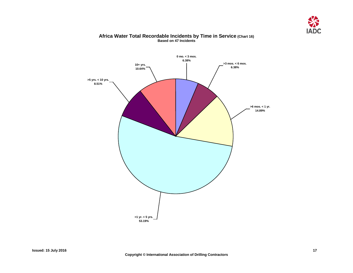

## <span id="page-18-0"></span>**10+ yrs. 10.64% >5 yrs. < 10 yrs. 8.51% >1 yr. < 5 yrs. 53.19% >6 mos. < 1 yr. 14.89% >3 mos. < 6 mos. 6.38% 0 mo. < 3 mos. 6.38%**

#### **Africa Water Total Recordable Incidents by Time in Service (Chart 16) Based on 47 Incidents**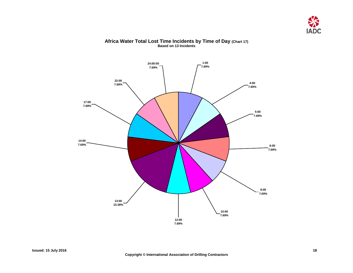

<span id="page-19-0"></span>

#### **Africa Water Total Lost Time Incidents by Time of Day (Chart 17) Based on 13 Incidents**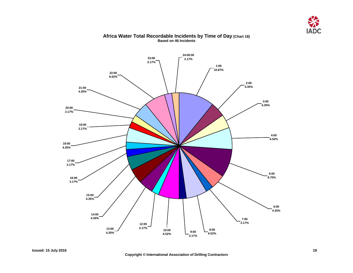

<span id="page-20-0"></span>

#### **Africa Water Total Recordable Incidents by Time of Day (Chart 18) Based on 46 Incidents**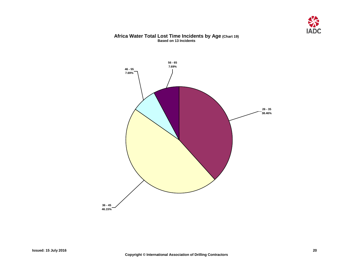

#### **Africa Water Total Lost Time Incidents by Age (Chart 19) Based on 13 Incidents**